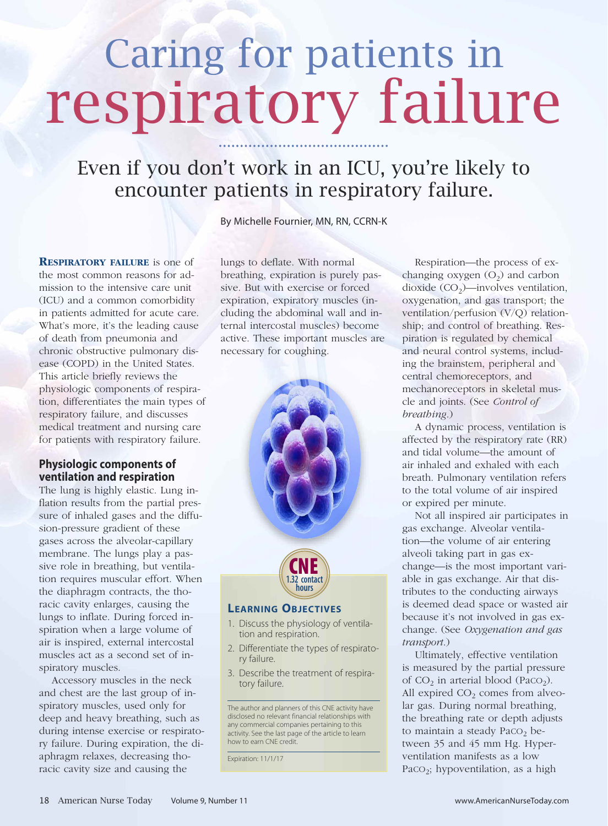# Caring for patients in respiratory failure

## Even if you don't work in an ICU, you're likely to encounter patients in respiratory failure.

By Michelle Fournier, MN, RN, CCRN-K

**RESPIRATORY FAILURE** is one of the most common reasons for admission to the intensive care unit (ICU) and a common comorbidity in patients admitted for acute care. What's more, it's the leading cause of death from pneumonia and chronic obstructive pulmonary disease (COPD) in the United States. This article briefly reviews the physiologic components of respiration, differentiates the main types of respiratory failure, and discusses medical treatment and nursing care for patients with respiratory failure.

#### **Physiologic components of ventilation and respiration**

The lung is highly elastic. Lung inflation results from the partial pressure of inhaled gases and the diffusion-pressure gradient of these gases across the alveolar-capillary membrane. The lungs play a passive role in breathing, but ventilation requires muscular effort. When the diaphragm contracts, the thoracic cavity enlarges, causing the lungs to inflate. During forced inspiration when a large volume of air is inspired, external intercostal muscles act as a second set of inspiratory muscles.

Accessory muscles in the neck and chest are the last group of inspiratory muscles, used only for deep and heavy breathing, such as during intense exercise or respiratory failure. During expiration, the diaphragm relaxes, decreasing thoracic cavity size and causing the

lungs to deflate. With normal breathing, expiration is purely passive. But with exercise or forced expiration, expiratory muscles (including the abdominal wall and internal intercostal muscles) become active. These important muscles are necessary for coughing.



- 1. Discuss the physiology of ventilation and respiration.
- 2. Differentiate the types of respiratory failure.
- 3. Describe the treatment of respiratory failure.

The author and planners of this CNE activity have disclosed no relevant financial relationships with any commercial companies pertaining to this activity. See the last page of the article to learn how to earn CNE credit.

Expiration: 11/1/17

Respiration—the process of exchanging oxygen  $(O_2)$  and carbon dioxide  $(CO_2)$ —involves ventilation, oxygenation, and gas transport; the ventilation/perfusion (V/Q) relationship; and control of breathing. Respiration is regulated by chemical and neural control systems, including the brainstem, peripheral and central chemoreceptors, and mechanoreceptors in skeletal muscle and joints. (See *Control of breathing*.)

A dynamic process, ventilation is affected by the respiratory rate (RR) and tidal volume—the amount of air inhaled and exhaled with each breath. Pulmonary ventilation refers to the total volume of air inspired or expired per minute.

Not all inspired air participates in gas exchange. Alveolar ventilation—the volume of air entering alveoli taking part in gas exchange—is the most important variable in gas exchange. Air that distributes to the conducting airways is deemed dead space or wasted air because it's not involved in gas exchange. (See *Oxygenation and gas transport*.)

Ultimately, effective ventilation is measured by the partial pressure of  $CO<sub>2</sub>$  in arterial blood (PaCO<sub>2</sub>). All expired  $CO<sub>2</sub>$  comes from alveolar gas. During normal breathing, the breathing rate or depth adjusts to maintain a steady PaCO<sub>2</sub> between 35 and 45 mm Hg. Hyperventilation manifests as a low PaCO<sub>2</sub>; hypoventilation, as a high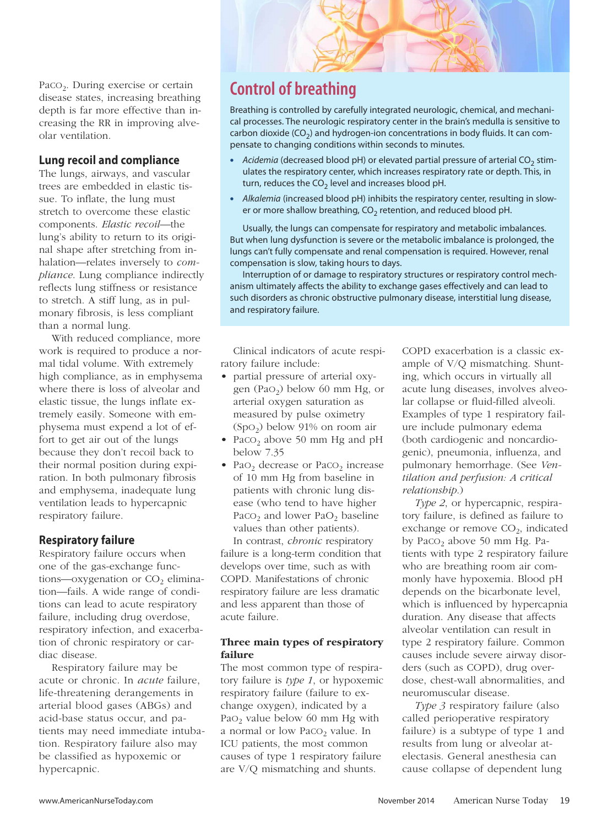PaCO<sub>2</sub>. During exercise or certain disease states, increasing breathing depth is far more effective than increasing the RR in improving alveolar ventilation.

#### **Lung recoil and compliance**

The lungs, airways, and vascular trees are embedded in elastic tissue. To inflate, the lung must stretch to overcome these elastic components. *Elastic recoil*—the lung's ability to return to its original shape after stretching from inhalation—relates inversely to *compliance*. Lung compliance indirectly reflects lung stiffness or resistance to stretch. A stiff lung, as in pulmonary fibrosis, is less compliant than a normal lung.

With reduced compliance, more work is required to produce a normal tidal volume. With extremely high compliance, as in emphysema where there is loss of alveolar and elastic tissue, the lungs inflate extremely easily. Someone with emphysema must expend a lot of effort to get air out of the lungs because they don't recoil back to their normal position during expiration. In both pulmonary fibrosis and emphysema, inadequate lung ventilation leads to hypercapnic respiratory failure.

#### **Respiratory failure**

Respiratory failure occurs when one of the gas-exchange functions—oxygenation or  $CO<sub>2</sub>$  elimination—fails. A wide range of conditions can lead to acute respiratory failure, including drug overdose, respiratory infection, and exacerbation of chronic respiratory or cardiac disease.

Respiratory failure may be acute or chronic. In *acute* failure, life-threatening derangements in arterial blood gases (ABGs) and acid-base status occur, and patients may need immediate intubation. Respiratory failure also may be classified as hypoxemic or hypercapnic.

## **Control of breathing**

Breathing is controlled by carefully integrated neurologic, chemical, and mechanical processes. The neurologic respiratory center in the brain's medulla is sensitive to carbon dioxide (CO<sub>2</sub>) and hydrogen-ion concentrations in body fluids. It can compensate to changing conditions within seconds to minutes.

- Acidemia (decreased blood pH) or elevated partial pressure of arterial CO<sub>2</sub> stimulates the respiratory center, which increases respiratory rate or depth. This, in turn, reduces the  $CO<sub>2</sub>$  level and increases blood pH.
- **•** *Alkalemia* (increased blood pH) inhibits the respiratory center, resulting in slower or more shallow breathing,  $CO<sub>2</sub>$  retention, and reduced blood pH.

Usually, the lungs can compensate for respiratory and metabolic imbalances. But when lung dysfunction is severe or the metabolic imbalance is prolonged, the lungs can't fully compensate and renal compensation is required. However, renal compensation is slow, taking hours to days.

Interruption of or damage to respiratory structures or respiratory control mechanism ultimately affects the ability to exchange gases effectively and can lead to such disorders as chronic obstructive pulmonary disease, interstitial lung disease, and respiratory failure.

Clinical indicators of acute respiratory failure include:

- partial pressure of arterial oxygen (PaO<sub>2</sub>) below 60 mm Hg, or arterial oxygen saturation as measured by pulse oximetry  $(Spo<sub>2</sub>)$  below 91% on room air
- Pac $O_2$  above 50 mm Hg and pH below 7.35
- Pa $O_2$  decrease or PaC $O_2$  increase of 10 mm Hg from baseline in patients with chronic lung disease (who tend to have higher PaCO<sub>2</sub> and lower PaO<sub>2</sub> baseline values than other patients).

In contrast, *chronic* respiratory failure is a long-term condition that develops over time, such as with COPD. Manifestations of chronic respiratory failure are less dramatic and less apparent than those of acute failure.

#### **Three main types of respiratory failure**

The most common type of respiratory failure is *type 1*, or hypoxemic respiratory failure (failure to exchange oxygen), indicated by a PaO<sub>2</sub> value below 60 mm Hg with a normal or low PaCO<sub>2</sub> value. In ICU patients, the most common causes of type 1 respiratory failure are V/Q mismatching and shunts.

COPD exacerbation is a classic example of V/Q mismatching. Shunting, which occurs in virtually all acute lung diseases, involves alveolar collapse or fluid-filled alveoli. Examples of type 1 respiratory failure include pulmonary edema (both cardiogenic and noncardiogenic), pneumonia, influenza, and pulmonary hemorrhage. (See *Ventilation and perfusion: A critical relationship*.)

*Type 2*, or hypercapnic, respiratory failure, is defined as failure to exchange or remove  $CO<sub>2</sub>$ , indicated by Pac $O<sub>2</sub>$  above 50 mm Hg. Patients with type 2 respiratory failure who are breathing room air commonly have hypoxemia. Blood pH depends on the bicarbonate level, which is influenced by hypercapnia duration. Any disease that affects alveolar ventilation can result in type 2 respiratory failure. Common causes include severe airway disorders (such as COPD), drug overdose, chest-wall abnormalities, and neuromuscular disease.

*Type 3* respiratory failure (also called perioperative respiratory failure) is a subtype of type 1 and results from lung or alveolar atelectasis. General anesthesia can cause collapse of dependent lung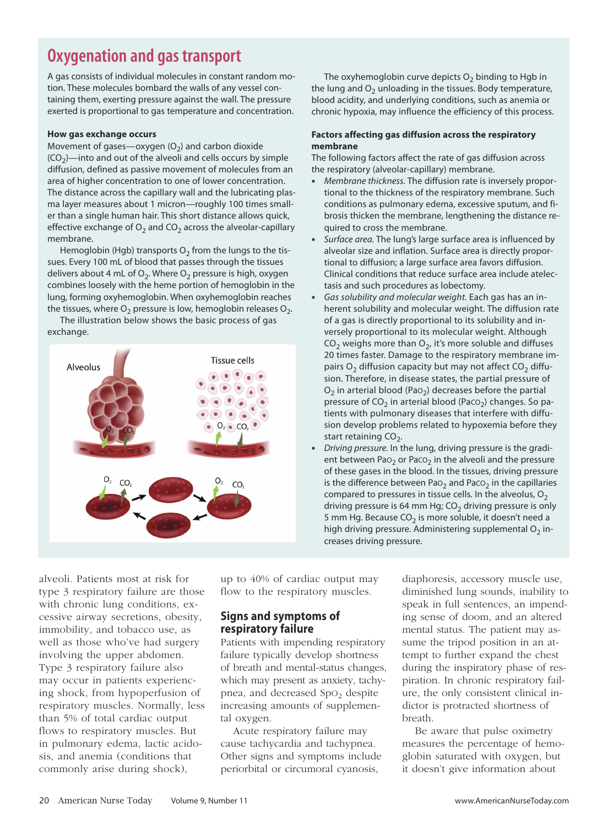## **Oxygenation and gas transport**

A gas consists of individual molecules in constant random motion. These molecules bombard the walls of any vessel containing them, exerting pressure against the wall. The pressure exerted is proportional to gas temperature and concentration.

#### **How gas exchange occurs**

Movement of gases—oxygen  $(O_2)$  and carbon dioxide  $(CO<sub>2</sub>)$ —into and out of the alveoli and cells occurs by simple diffusion, defined as passive movement of molecules from an area of higher concentration to one of lower concentration. The distance across the capillary wall and the lubricating plasma layer measures about 1 micron—roughly 100 times smaller than a single human hair. This short distance allows quick, effective exchange of  $O_2$  and  $CO_2$  across the alveolar-capillary membrane.

Hemoglobin (Hgb) transports  $O_2$  from the lungs to the tissues. Every 100 mL of blood that passes through the tissues delivers about 4 mL of  $O_2$ . Where  $O_2$  pressure is high, oxygen combines loosely with the heme portion of hemoglobin in the lung, forming oxyhemoglobin. When oxyhemoglobin reaches the tissues, where  $O_2$  pressure is low, hemoglobin releases  $O_2$ .

The illustration below shows the basic process of gas exchange.



The oxyhemoglobin curve depicts  $O<sub>2</sub>$  binding to Hgb in the lung and  $O<sub>2</sub>$  unloading in the tissues. Body temperature, blood acidity, and underlying conditions, such as anemia or chronic hypoxia, may influence the efficiency of this process.

#### **Factors affecting gas diffusion across the respiratory membrane**

The following factors affect the rate of gas diffusion across the respiratory (alveolar-capillary) membrane.

- **•** *Membrane thickness.* The diffusion rate is inversely proportional to the thickness of the respiratory membrane. Such conditions as pulmonary edema, excessive sputum, and fibrosis thicken the membrane, lengthening the distance required to cross the membrane.
- **•** *Surface area.* The lung's large surface area is influenced by alveolar size and inflation. Surface area is directly proportional to diffusion; a large surface area favors diffusion. Clinical conditions that reduce surface area include atelectasis and such procedures as lobectomy.
- **•** *Gas solubility and molecular weight.* Each gas has an inherent solubility and molecular weight. The diffusion rate of a gas is directly proportional to its solubility and inversely proportional to its molecular weight. Although  $CO<sub>2</sub>$  weighs more than  $O<sub>2</sub>$ , it's more soluble and diffuses 20 times faster. Damage to the respiratory membrane impairs  $O_2$  diffusion capacity but may not affect  $CO_2$  diffusion. Therefore, in disease states, the partial pressure of  $O<sub>2</sub>$  in arterial blood (PaO<sub>2</sub>) decreases before the partial pressure of  $CO<sub>2</sub>$  in arterial blood (Paco<sub>2</sub>) changes. So patients with pulmonary diseases that interfere with diffusion develop problems related to hypoxemia before they start retaining  $CO<sub>2</sub>$ .
- **•** *Driving pressure.* In the lung, driving pressure is the gradient between Pa $O<sub>2</sub>$  or Pac $O<sub>2</sub>$  in the alveoli and the pressure of these gases in the blood. In the tissues, driving pressure is the difference between Pa $O<sub>2</sub>$  and Pac $O<sub>2</sub>$  in the capillaries compared to pressures in tissue cells. In the alveolus,  $O<sub>2</sub>$ driving pressure is 64 mm Hg;  $CO<sub>2</sub>$  driving pressure is only 5 mm Hg. Because  $CO<sub>2</sub>$  is more soluble, it doesn't need a high driving pressure. Administering supplemental  $O<sub>2</sub>$  increases driving pressure.

alveoli. Patients most at risk for type 3 respiratory failure are those with chronic lung conditions, excessive airway secretions, obesity, immobility, and tobacco use, as well as those who've had surgery involving the upper abdomen. Type 3 respiratory failure also may occur in patients experiencing shock, from hypoperfusion of respiratory muscles. Normally, less than 5% of total cardiac output flows to respiratory muscles. But in pulmonary edema, lactic acidosis, and anemia (conditions that commonly arise during shock),

up to 40% of cardiac output may flow to the respiratory muscles.

#### **Signs and symptoms of respiratory failure**

Patients with impending respiratory failure typically develop shortness of breath and mental-status changes, which may present as anxiety, tachypnea, and decreased SpO<sub>2</sub> despite increasing amounts of supplemental oxygen.

Acute respiratory failure may cause tachycardia and tachypnea. Other signs and symptoms include periorbital or circumoral cyanosis,

diaphoresis, accessory muscle use, diminished lung sounds, inability to speak in full sentences, an impending sense of doom, and an altered mental status. The patient may assume the tripod position in an attempt to further expand the chest during the inspiratory phase of respiration. In chronic respiratory failure, the only consistent clinical indictor is protracted shortness of breath.

Be aware that pulse oximetry measures the percentage of hemoglobin saturated with oxygen, but it doesn't give information about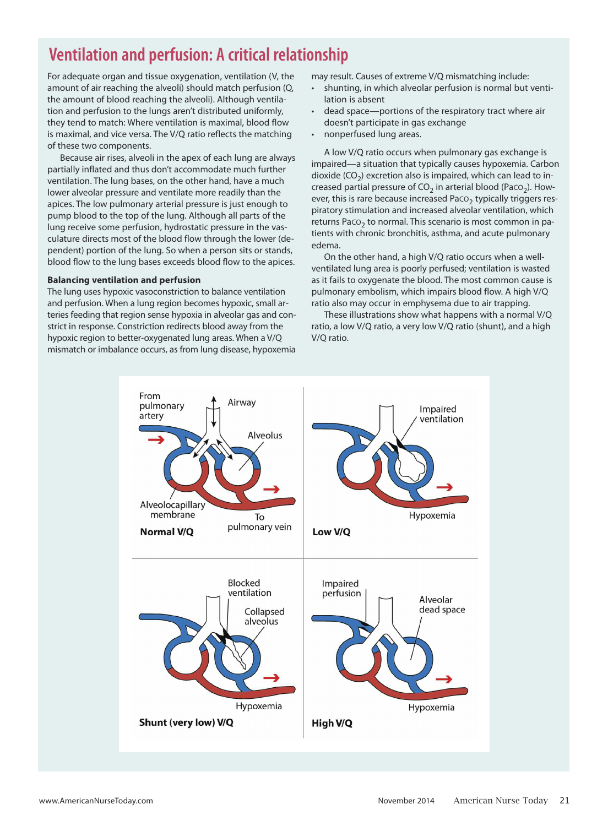## **Ventilation and perfusion: A critical relationship**

For adequate organ and tissue oxygenation, ventilation (V, the amount of air reaching the alveoli) should match perfusion (Q, the amount of blood reaching the alveoli). Although ventilation and perfusion to the lungs aren't distributed uniformly, they tend to match: Where ventilation is maximal, blood flow is maximal, and vice versa. The V/Q ratio reflects the matching of these two components.

Because air rises, alveoli in the apex of each lung are always partially inflated and thus don't accommodate much further ventilation. The lung bases, on the other hand, have a much lower alveolar pressure and ventilate more readily than the apices. The low pulmonary arterial pressure is just enough to pump blood to the top of the lung. Although all parts of the lung receive some perfusion, hydrostatic pressure in the vasculature directs most of the blood flow through the lower (dependent) portion of the lung. So when a person sits or stands, blood flow to the lung bases exceeds blood flow to the apices.

#### **Balancing ventilation and perfusion**

The lung uses hypoxic vasoconstriction to balance ventilation and perfusion. When a lung region becomes hypoxic, small arteries feeding that region sense hypoxia in alveolar gas and constrict in response. Constriction redirects blood away from the hypoxic region to better-oxygenated lung areas. When a V/Q mismatch or imbalance occurs, as from lung disease, hypoxemia

may result. Causes of extreme V/Q mismatching include:

- shunting, in which alveolar perfusion is normal but ventilation is absent
- dead space—portions of the respiratory tract where air doesn't participate in gas exchange
- nonperfused lung areas.

A low V/Q ratio occurs when pulmonary gas exchange is impaired—a situation that typically causes hypoxemia. Carbon dioxide  $(CO<sub>2</sub>)$  excretion also is impaired, which can lead to increased partial pressure of  $CO<sub>2</sub>$  in arterial blood (PacO<sub>2</sub>). However, this is rare because increased Paco<sub>2</sub> typically triggers respiratory stimulation and increased alveolar ventilation, which returns Paco<sub>2</sub> to normal. This scenario is most common in patients with chronic bronchitis, asthma, and acute pulmonary edema.

On the other hand, a high V/Q ratio occurs when a wellventilated lung area is poorly perfused; ventilation is wasted as it fails to oxygenate the blood. The most common cause is pulmonary embolism, which impairs blood flow. A high V/Q ratio also may occur in emphysema due to air trapping.

These illustrations show what happens with a normal V/Q ratio, a low V/Q ratio, a very low V/Q ratio (shunt), and a high V/Q ratio.

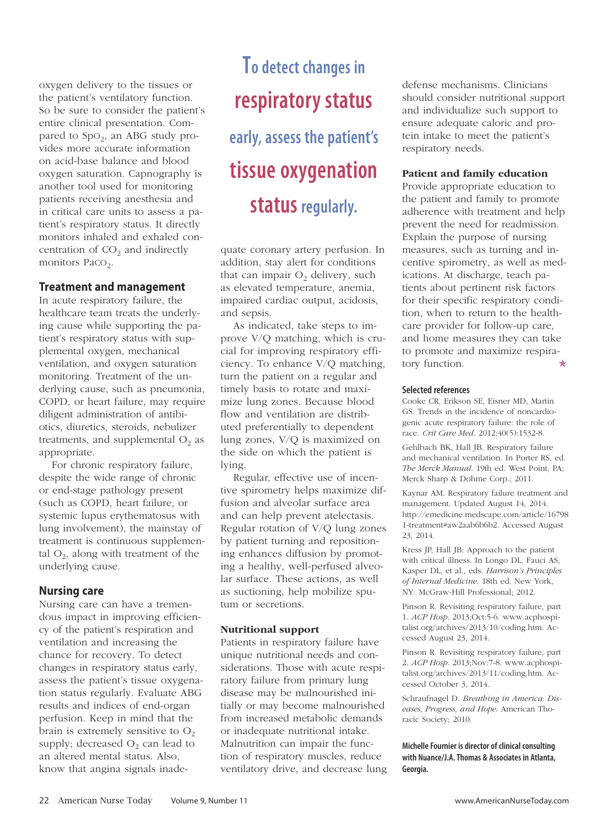oxygen delivery to the tissues or the patient's ventilatory function. So be sure to consider the patient's entire clinical presentation. Compared to  $SpO<sub>2</sub>$ , an ABG study provides more accurate information on acid-base balance and blood oxygen saturation. Capnography is another tool used for monitoring patients receiving anesthesia and in critical care units to assess a patient's respiratory status. It directly monitors inhaled and exhaled concentration of  $CO<sub>2</sub>$  and indirectly monitors Paco<sub>2</sub>.

#### **Treatment and management**

In acute respiratory failure, the healthcare team treats the underlying cause while supporting the patient's respiratory status with supplemental oxygen, mechanical ventilation, and oxygen saturation monitoring. Treatment of the underlying cause, such as pneumonia, COPD, or heart failure, may require diligent administration of antibiotics, diuretics, steroids, nebulizer treatments, and supplemental  $O_2$  as appropriate.

For chronic respiratory failure, despite the wide range of chronic or end-stage pathology present (such as COPD, heart failure, or systemic lupus erythematosus with lung involvement), the mainstay of treatment is continuous supplemental  $O_2$ , along with treatment of the underlying cause.

#### **Nursing care**

Nursing care can have a tremendous impact in improving efficiency of the patient's respiration and ventilation and increasing the chance for recovery. To detect changes in respiratory status early, assess the patient's tissue oxygenation status regularly. Evaluate ABG results and indices of end-organ perfusion. Keep in mind that the brain is extremely sensitive to  $O_2$ supply; decreased  $O_2$  can lead to an altered mental status. Also, know that angina signals inade-

## **To detect changes in respiratory status early, assess the patient's tissue oxygenation status regularly.**

quate coronary artery perfusion. In addition, stay alert for conditions that can impair  $O<sub>2</sub>$  delivery, such as elevated temperature, anemia, impaired cardiac output, acidosis, and sepsis.

As indicated, take steps to improve V/Q matching, which is crucial for improving respiratory efficiency. To enhance V/Q matching, turn the patient on a regular and timely basis to rotate and maximize lung zones. Because blood flow and ventilation are distributed preferentially to dependent lung zones, V/Q is maximized on the side on which the patient is lying.

Regular, effective use of incentive spirometry helps maximize diffusion and alveolar surface area and can help prevent atelectasis. Regular rotation of V/Q lung zones by patient turning and repositioning enhances diffusion by promoting a healthy, well-perfused alveolar surface. These actions, as well as suctioning, help mobilize sputum or secretions.

#### **Nutritional support**

Patients in respiratory failure have unique nutritional needs and considerations. Those with acute respiratory failure from primary lung disease may be malnourished initially or may become malnourished from increased metabolic demands or inadequate nutritional intake. Malnutrition can impair the function of respiratory muscles, reduce ventilatory drive, and decrease lung

defense mechanisms. Clinicians should consider nutritional support and individualize such support to ensure adequate caloric and protein intake to meet the patient's respiratory needs.

#### **Patient and family education**

Provide appropriate education to the patient and family to promote adherence with treatment and help prevent the need for readmission. Explain the purpose of nursing measures, such as turning and incentive spirometry, as well as medications. At discharge, teach patients about pertinent risk factors for their specific respiratory condition, when to return to the healthcare provider for follow-up care, and home measures they can take to promote and maximize respiratory function.  $\star$ 

#### **Selected references**

Cooke CR, Erikson SE, Eisner MD, Martin GS. Trends in the incidence of noncardiogenic acute respiratory failure: the role of race. *Crit Care Med*. 2012;40(5):1532-8.

Gehlbach BK, Hall JB. Respiratory failure and mechanical ventilation. In Porter RS, ed. *The Merck Manual*. 19th ed. West Point, PA; Merck Sharp & Dohme Corp.; 2011.

Kaynar AM. Respiratory failure treatment and management. Updated August 14, 2014. http://emedicine.medscape.com/article/16798 1-treatment#aw2aab6b6b2. Accessed August 23, 2014.

Kress JP, Hall JB: Approach to the patient with critical illness. In Longo DL, Fauci AS, Kasper DL, et al., eds. *Harrison's Principles of Internal Medicine*. 18th ed. New York, NY: McGraw-Hill Professional; 2012.

Pinson R. Revisiting respiratory failure, part 1. *ACP Hosp*. 2013;Oct:5-6. www.acphospitalist.org/archives/2013/10/coding.htm. Accessed August 23, 2014.

Pinson R. Revisiting respiratory failure, part 2. *ACP Hosp*. 2013;Nov:7-8. www.acphospitalist.org/archives/2013/11/coding.htm. Accessed October 3, 2014.

Schraufnagel D. *Breathing in America: Diseases, Progress, and Hope*. American Thoracic Society; 2010.

#### **MichelleFournier is director of clinical consulting with Nuance/J.A.Thomas & Associates in Atlanta, Georgia.**